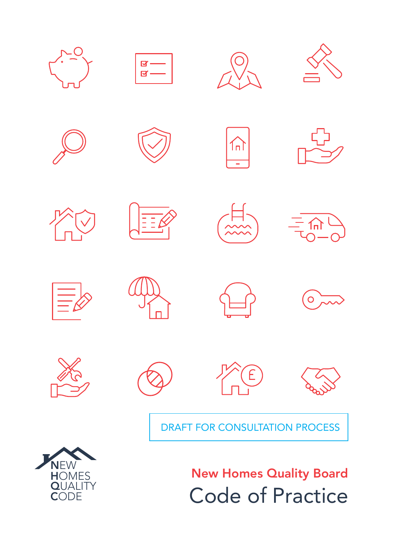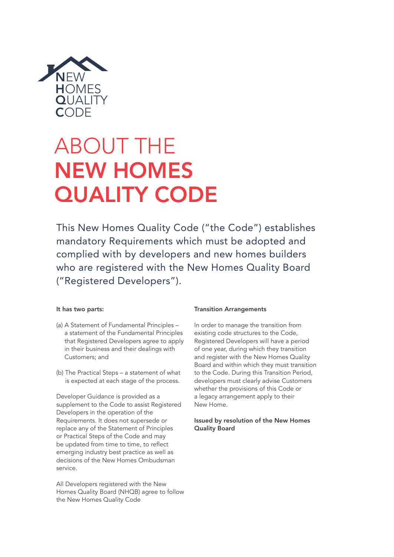

## ABOUT THE NEW HOMES QUALITY CODE

This New Homes Quality Code ("the Code") establishes mandatory Requirements which must be adopted and complied with by developers and new homes builders who are registered with the New Homes Quality Board ("Registered Developers").

#### It has two parts:

- (a) A Statement of Fundamental Principles a statement of the Fundamental Principles that Registered Developers agree to apply in their business and their dealings with Customers; and
- (b) The Practical Steps a statement of what is expected at each stage of the process.

Developer Guidance is provided as a supplement to the Code to assist Registered Developers in the operation of the Requirements. It does not supersede or replace any of the Statement of Principles or Practical Steps of the Code and may be updated from time to time, to reflect emerging industry best practice as well as decisions of the New Homes Ombudsman service.

All Developers registered with the New Homes Quality Board (NHQB) agree to follow the New Homes Quality Code

#### Transition Arrangements

In order to manage the transition from existing code structures to the Code, Registered Developers will have a period of one year, during which they transition and register with the New Homes Quality Board and within which they must transition to the Code. During this Transition Period, developers must clearly advise Customers whether the provisions of this Code or a legacy arrangement apply to their New Home.

#### Issued by resolution of the New Homes Quality Board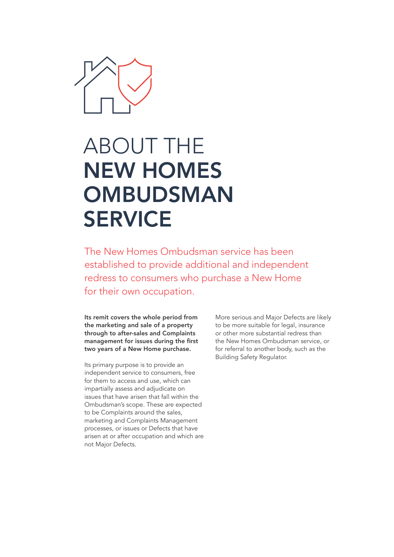

## ABOUT THE NEW HOMES **OMBUDSMAN** SERVICE

The New Homes Ombudsman service has been established to provide additional and independent redress to consumers who purchase a New Home for their own occupation.

Its remit covers the whole period from the marketing and sale of a property through to after-sales and Complaints management for issues during the first two years of a New Home purchase.

Its primary purpose is to provide an independent service to consumers, free for them to access and use, which can impartially assess and adjudicate on issues that have arisen that fall within the Ombudsman's scope. These are expected to be Complaints around the sales, marketing and Complaints Management processes, or issues or Defects that have arisen at or after occupation and which are not Major Defects.

More serious and Major Defects are likely to be more suitable for legal, insurance or other more substantial redress than the New Homes Ombudsman service, or for referral to another body, such as the Building Safety Regulator.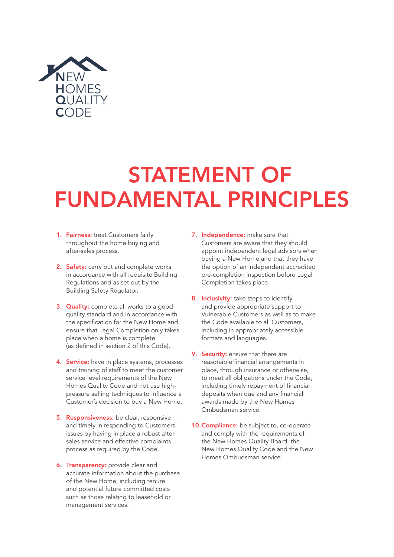

### STATEMENT OF FUNDAMENTAL PRINCIPLES

- 1. Fairness: treat Customers fairly throughout the home buying and after-sales process.
- 2. Safety: carry out and complete works in accordance with all requisite Building Regulations and as set out by the Building Safety Regulator.
- 3. Quality: complete all works to a good quality standard and in accordance with the specification for the New Home and ensure that Legal Completion only takes place when a home is complete (as defined in section 2 of this Code).
- 4. Service: have in place systems, processes and training of staff to meet the customer service level requirements of the New Homes Quality Code and not use highpressure selling techniques to influence a Customer's decision to buy a New Home.
- **5. Responsiveness:** be clear, responsive and timely in responding to Customers' issues by having in place a robust after sales service and effective complaints process as required by the Code.
- **6. Transparency:** provide clear and accurate information about the purchase of the New Home, including tenure and potential future committed costs such as those relating to leasehold or management services.
- 7. Independence: make sure that Customers are aware that they should appoint independent legal advisors when buying a New Home and that they have the option of an independent accredited pre-completion inspection before Legal Completion takes place.
- 8. Inclusivity: take steps to identify and provide appropriate support to Vulnerable Customers as well as to make the Code available to all Customers, including in appropriately accessible formats and languages.
- 9. Security: ensure that there are reasonable financial arrangements in place, through insurance or otherwise, to meet all obligations under the Code, including timely repayment of financial deposits when due and any financial awards made by the New Homes Ombudsman service.
- 10. Compliance: be subject to, co-operate and comply with the requirements of the New Homes Quality Board, the New Homes Quality Code and the New Homes Ombudsman service.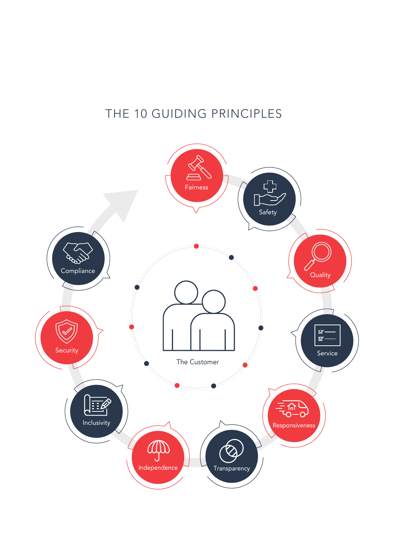### THE 10 GUIDING PRINCIPLES

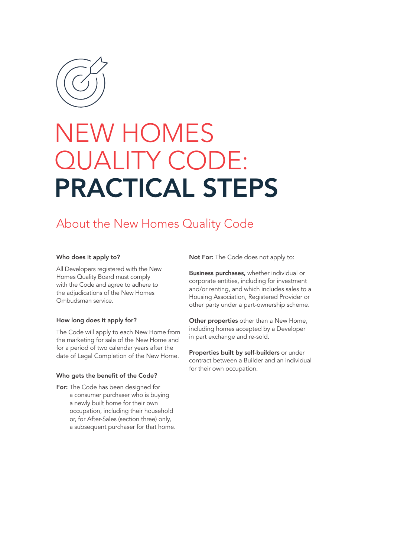

## NEW HOMES QUALITY CODE: PRACTICAL STEPS

### About the New Homes Quality Code

#### Who does it apply to?

All Developers registered with the New Homes Quality Board must comply with the Code and agree to adhere to the adjudications of the New Homes Ombudsman service.

#### How long does it apply for?

The Code will apply to each New Home from the marketing for sale of the New Home and for a period of two calendar years after the date of Legal Completion of the New Home.

#### Who gets the benefit of the Code?

For: The Code has been designed for a consumer purchaser who is buying a newly built home for their own occupation, including their household or, for After-Sales (section three) only, a subsequent purchaser for that home. Not For: The Code does not apply to:

Business purchases, whether individual or corporate entities, including for investment and/or renting, and which includes sales to a Housing Association, Registered Provider or other party under a part-ownership scheme.

Other properties other than a New Home, including homes accepted by a Developer in part exchange and re-sold.

Properties built by self-builders or under contract between a Builder and an individual for their own occupation.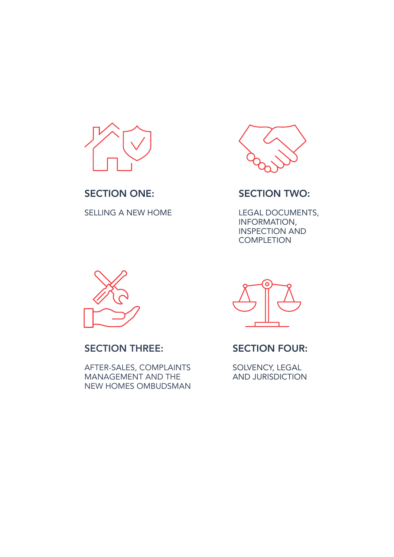

SECTION ONE: SELLING A NEW HOME



### SECTION TWO:

LEGAL DOCUMENTS, INFORMATION, INSPECTION AND **COMPLETION** 



SECTION THREE:

AFTER-SALES, COMPLAINTS MANAGEMENT AND THE NEW HOMES OMBUDSMAN



SECTION FOUR:

SOLVENCY, LEGAL AND JURISDICTION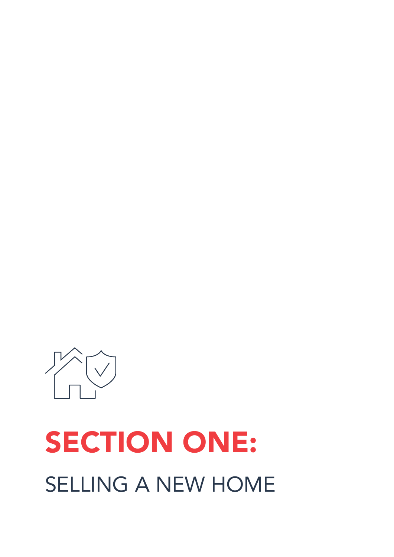# SECTION ONE: SELLING A NEW HOME

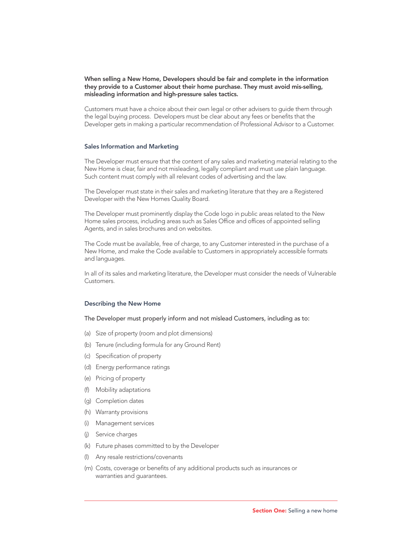#### When selling a New Home, Developers should be fair and complete in the information they provide to a Customer about their home purchase. They must avoid mis-selling, misleading information and high-pressure sales tactics.

Customers must have a choice about their own legal or other advisers to guide them through the legal buying process. Developers must be clear about any fees or benefits that the Developer gets in making a particular recommendation of Professional Advisor to a Customer.

#### Sales Information and Marketing

The Developer must ensure that the content of any sales and marketing material relating to the New Home is clear, fair and not misleading, legally compliant and must use plain language. Such content must comply with all relevant codes of advertising and the law.

The Developer must state in their sales and marketing literature that they are a Registered Developer with the New Homes Quality Board.

The Developer must prominently display the Code logo in public areas related to the New Home sales process, including areas such as Sales Office and offices of appointed selling Agents, and in sales brochures and on websites.

The Code must be available, free of charge, to any Customer interested in the purchase of a New Home, and make the Code available to Customers in appropriately accessible formats and languages.

In all of its sales and marketing literature, the Developer must consider the needs of Vulnerable Customers.

#### Describing the New Home

The Developer must properly inform and not mislead Customers, including as to:

- (a) Size of property (room and plot dimensions)
- (b) Tenure (including formula for any Ground Rent)
- (c) Specification of property
- (d) Energy performance ratings
- (e) Pricing of property
- (f) Mobility adaptations
- (g) Completion dates
- (h) Warranty provisions
- (i) Management services
- (j) Service charges
- (k) Future phases committed to by the Developer
- (l) Any resale restrictions/covenants
- (m) Costs, coverage or benefits of any additional products such as insurances or warranties and guarantees.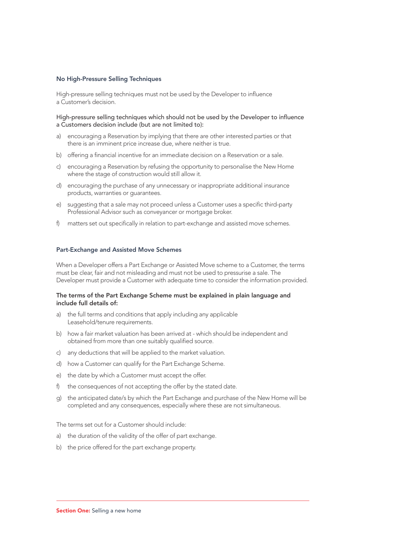#### No High-Pressure Selling Techniques

High-pressure selling techniques must not be used by the Developer to influence a Customer's decision.

High-pressure selling techniques which should not be used by the Developer to influence a Customers decision include (but are not limited to):

- a) encouraging a Reservation by implying that there are other interested parties or that there is an imminent price increase due, where neither is true.
- b) offering a financial incentive for an immediate decision on a Reservation or a sale.
- c) encouraging a Reservation by refusing the opportunity to personalise the New Home where the stage of construction would still allow it.
- d) encouraging the purchase of any unnecessary or inappropriate additional insurance products, warranties or guarantees.
- e) suggesting that a sale may not proceed unless a Customer uses a specific third-party Professional Advisor such as conveyancer or mortgage broker.
- f) matters set out specifically in relation to part-exchange and assisted move schemes.

#### Part-Exchange and Assisted Move Schemes

When a Developer offers a Part Exchange or Assisted Move scheme to a Customer, the terms must be clear, fair and not misleading and must not be used to pressurise a sale. The Developer must provide a Customer with adequate time to consider the information provided.

#### The terms of the Part Exchange Scheme must be explained in plain language and include full details of:

- a) the full terms and conditions that apply including any applicable Leasehold/tenure requirements.
- b) how a fair market valuation has been arrived at which should be independent and obtained from more than one suitably qualified source.
- c) any deductions that will be applied to the market valuation.
- d) how a Customer can qualify for the Part Exchange Scheme.
- e) the date by which a Customer must accept the offer.
- f) the consequences of not accepting the offer by the stated date.
- g) the anticipated date/s by which the Part Exchange and purchase of the New Home will be completed and any consequences, especially where these are not simultaneous.

The terms set out for a Customer should include:

- a) the duration of the validity of the offer of part exchange.
- b) the price offered for the part exchange property.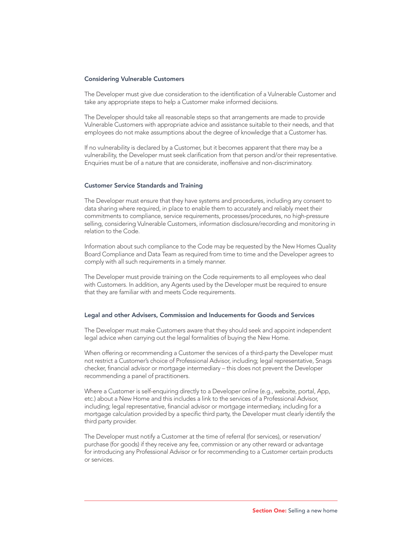#### Considering Vulnerable Customers

The Developer must give due consideration to the identification of a Vulnerable Customer and take any appropriate steps to help a Customer make informed decisions.

The Developer should take all reasonable steps so that arrangements are made to provide Vulnerable Customers with appropriate advice and assistance suitable to their needs, and that employees do not make assumptions about the degree of knowledge that a Customer has.

If no vulnerability is declared by a Customer, but it becomes apparent that there may be a vulnerability, the Developer must seek clarification from that person and/or their representative. Enquiries must be of a nature that are considerate, inoffensive and non-discriminatory.

#### Customer Service Standards and Training

The Developer must ensure that they have systems and procedures, including any consent to data sharing where required, in place to enable them to accurately and reliably meet their commitments to compliance, service requirements, processes/procedures, no high-pressure selling, considering Vulnerable Customers, information disclosure/recording and monitoring in relation to the Code.

Information about such compliance to the Code may be requested by the New Homes Quality Board Compliance and Data Team as required from time to time and the Developer agrees to comply with all such requirements in a timely manner.

The Developer must provide training on the Code requirements to all employees who deal with Customers. In addition, any Agents used by the Developer must be required to ensure that they are familiar with and meets Code requirements.

#### Legal and other Advisers, Commission and Inducements for Goods and Services

The Developer must make Customers aware that they should seek and appoint independent legal advice when carrying out the legal formalities of buying the New Home.

When offering or recommending a Customer the services of a third-party the Developer must not restrict a Customer's choice of Professional Advisor, including; legal representative, Snags checker, financial advisor or mortgage intermediary – this does not prevent the Developer recommending a panel of practitioners.

Where a Customer is self-enquiring directly to a Developer online (e.g., website, portal, App, etc.) about a New Home and this includes a link to the services of a Professional Advisor, including; legal representative, financial advisor or mortgage intermediary, including for a mortgage calculation provided by a specific third party, the Developer must clearly identify the third party provider.

The Developer must notify a Customer at the time of referral (for services), or reservation/ purchase (for goods) if they receive any fee, commission or any other reward or advantage for introducing any Professional Advisor or for recommending to a Customer certain products or services.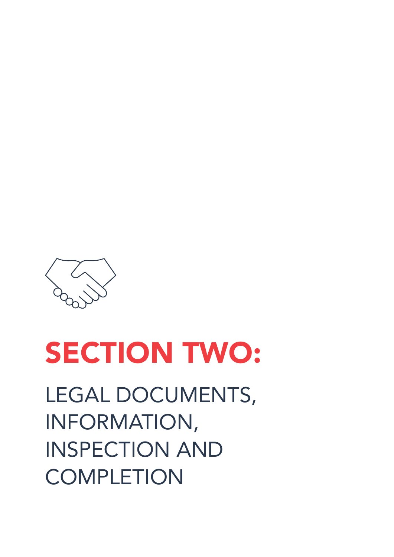

# SECTION TWO:

LEGAL DOCUMENTS, INFORMATION, INSPECTION AND **COMPLETION**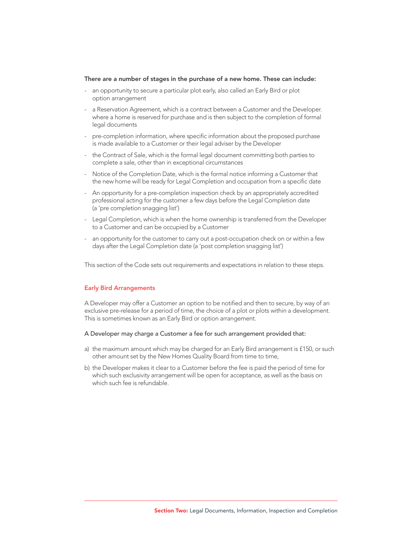#### There are a number of stages in the purchase of a new home. These can include:

- an opportunity to secure a particular plot early, also called an Early Bird or plot option arrangement
- a Reservation Agreement, which is a contract between a Customer and the Developer. where a home is reserved for purchase and is then subject to the completion of formal legal documents
- pre-completion information, where specific information about the proposed purchase is made available to a Customer or their legal adviser by the Developer
- the Contract of Sale, which is the formal legal document committing both parties to complete a sale, other than in exceptional circumstances
- Notice of the Completion Date, which is the formal notice informing a Customer that the new home will be ready for Legal Completion and occupation from a specific date
- An opportunity for a pre-completion inspection check by an appropriately accredited professional acting for the customer a few days before the Legal Completion date (a 'pre completion snagging list')
- Legal Completion, which is when the home ownership is transferred from the Developer to a Customer and can be occupied by a Customer
- an opportunity for the customer to carry out a post-occupation check on or within a few days after the Legal Completion date (a 'post completion snagging list')

This section of the Code sets out requirements and expectations in relation to these steps.

#### Early Bird Arrangements

A Developer may offer a Customer an option to be notified and then to secure, by way of an exclusive pre-release for a period of time, the choice of a plot or plots within a development. This is sometimes known as an Early Bird or option arrangement.

#### A Developer may charge a Customer a fee for such arrangement provided that:

- a) the maximum amount which may be charged for an Early Bird arrangement is £150, or such other amount set by the New Homes Quality Board from time to time,
- b) the Developer makes it clear to a Customer before the fee is paid the period of time for which such exclusivity arrangement will be open for acceptance, as well as the basis on which such fee is refundable.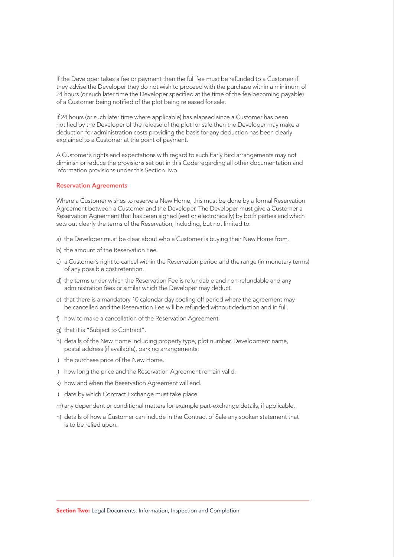If the Developer takes a fee or payment then the full fee must be refunded to a Customer if they advise the Developer they do not wish to proceed with the purchase within a minimum of 24 hours (or such later time the Developer specified at the time of the fee becoming payable) of a Customer being notified of the plot being released for sale.

If 24 hours (or such later time where applicable) has elapsed since a Customer has been notified by the Developer of the release of the plot for sale then the Developer may make a deduction for administration costs providing the basis for any deduction has been clearly explained to a Customer at the point of payment.

A Customer's rights and expectations with regard to such Early Bird arrangements may not diminish or reduce the provisions set out in this Code regarding all other documentation and information provisions under this Section Two.

#### Reservation Agreements

Where a Customer wishes to reserve a New Home, this must be done by a formal Reservation Agreement between a Customer and the Developer. The Developer must give a Customer a Reservation Agreement that has been signed (wet or electronically) by both parties and which sets out clearly the terms of the Reservation, including, but not limited to:

- a) the Developer must be clear about who a Customer is buying their New Home from.
- b) the amount of the Reservation Fee.
- c) a Customer's right to cancel within the Reservation period and the range (in monetary terms) of any possible cost retention.
- d) the terms under which the Reservation Fee is refundable and non-refundable and any administration fees or similar which the Developer may deduct.
- e) that there is a mandatory 10 calendar day cooling off period where the agreement may be cancelled and the Reservation Fee will be refunded without deduction and in full.
- f) how to make a cancellation of the Reservation Agreement
- g) that it is "Subject to Contract".
- h) details of the New Home including property type, plot number, Development name, postal address (if available), parking arrangements.
- i) the purchase price of the New Home.
- j) how long the price and the Reservation Agreement remain valid.
- k) how and when the Reservation Agreement will end.
- l) date by which Contract Exchange must take place.
- m) any dependent or conditional matters for example part-exchange details, if applicable.
- n) details of how a Customer can include in the Contract of Sale any spoken statement that is to be relied upon.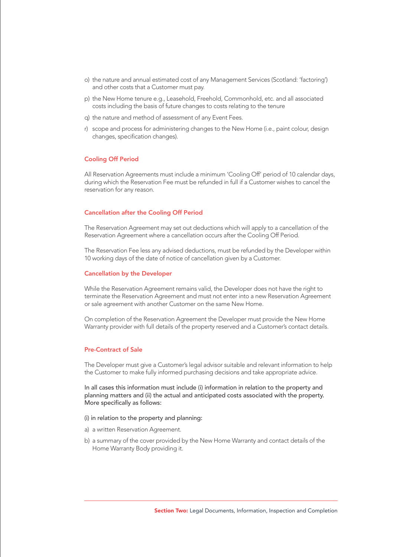- o) the nature and annual estimated cost of any Management Services (Scotland: 'factoring') and other costs that a Customer must pay.
- p) the New Home tenure e.g., Leasehold, Freehold, Commonhold, etc. and all associated costs including the basis of future changes to costs relating to the tenure
- q) the nature and method of assessment of any Event Fees.
- r) scope and process for administering changes to the New Home (i.e., paint colour, design changes, specification changes).

#### Cooling Off Period

All Reservation Agreements must include a minimum 'Cooling Off' period of 10 calendar days, during which the Reservation Fee must be refunded in full if a Customer wishes to cancel the reservation for any reason.

#### Cancellation after the Cooling Off Period

The Reservation Agreement may set out deductions which will apply to a cancellation of the Reservation Agreement where a cancellation occurs after the Cooling Off Period.

The Reservation Fee less any advised deductions, must be refunded by the Developer within 10 working days of the date of notice of cancellation given by a Customer.

#### Cancellation by the Developer

While the Reservation Agreement remains valid, the Developer does not have the right to terminate the Reservation Agreement and must not enter into a new Reservation Agreement or sale agreement with another Customer on the same New Home.

On completion of the Reservation Agreement the Developer must provide the New Home Warranty provider with full details of the property reserved and a Customer's contact details.

#### Pre-Contract of Sale

The Developer must give a Customer's legal advisor suitable and relevant information to help the Customer to make fully informed purchasing decisions and take appropriate advice.

In all cases this information must include (i) information in relation to the property and planning matters and (ii) the actual and anticipated costs associated with the property. More specifically as follows:

#### (i) in relation to the property and planning:

- a) a written Reservation Agreement.
- b) a summary of the cover provided by the New Home Warranty and contact details of the Home Warranty Body providing it.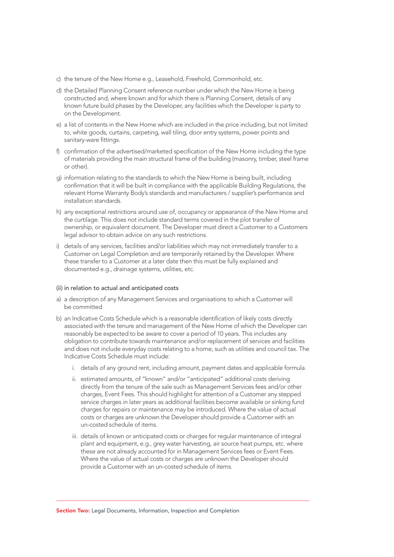- c) the tenure of the New Home e.g., Leasehold, Freehold, Commonhold, etc.
- d) the Detailed Planning Consent reference number under which the New Home is being constructed and, where known and for which there is Planning Consent, details of any known future build phases by the Developer, any facilities which the Developer is party to on the Development.
- e) a list of contents in the New Home which are included in the price including, but not limited to, white goods, curtains, carpeting, wall tiling, door entry systems, power points and sanitary-ware fittings.
- f) confirmation of the advertised/marketed specification of the New Home including the type of materials providing the main structural frame of the building (masonry, timber, steel frame or other).
- g) information relating to the standards to which the New Home is being built, including confirmation that it will be built in compliance with the applicable Building Regulations, the relevant Home Warranty Body's standards and manufacturers / supplier's performance and installation standards.
- h) any exceptional restrictions around use of, occupancy or appearance of the New Home and the curtilage. This does not include standard terms covered in the plot transfer of ownership, or equivalent document. The Developer must direct a Customer to a Customers legal advisor to obtain advice on any such restrictions.
- i) details of any services, facilities and/or liabilities which may not immediately transfer to a Customer on Legal Completion and are temporarily retained by the Developer. Where these transfer to a Customer at a later date then this must be fully explained and documented e.g., drainage systems, utilities, etc.

#### (ii) in relation to actual and anticipated costs

- a) a description of any Management Services and organisations to which a Customer will be committed
- b) an Indicative Costs Schedule which is a reasonable identification of likely costs directly associated with the tenure and management of the New Home of which the Developer can reasonably be expected to be aware to cover a period of 10 years. This includes any obligation to contribute towards maintenance and/or replacement of services and facilities and does not include everyday costs relating to a home, such as utilities and council tax. The Indicative Costs Schedule must include:
	- i. details of any ground rent, including amount, payment dates and applicable formula.
	- ii. estimated amounts, of "known" and/or "anticipated" additional costs deriving directly from the tenure of the sale such as Management Services fees and/or other charges, Event Fees. This should highlight for attention of a Customer any stepped service charges in later years as additional facilities become available or sinking fund charges for repairs or maintenance may be introduced. Where the value of actual costs or charges are unknown the Developer should provide a Customer with an un-costed schedule of items.
	- iii. details of known or anticipated costs or charges for regular maintenance of integral plant and equipment, e.g., grey water harvesting, air source heat pumps, etc. where these are not already accounted for in Management Services fees or Event Fees. Where the value of actual costs or charges are unknown the Developer should provide a Customer with an un-costed schedule of items.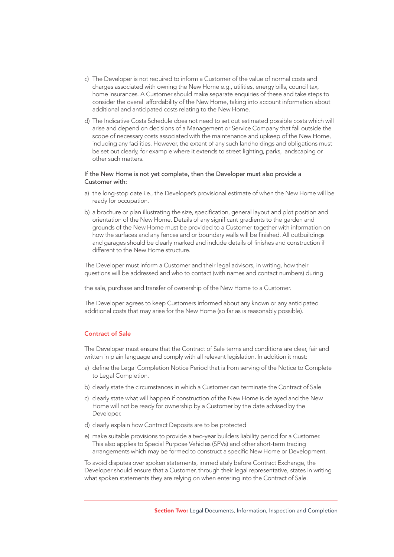- c) The Developer is not required to inform a Customer of the value of normal costs and charges associated with owning the New Home e.g., utilities, energy bills, council tax, home insurances. A Customer should make separate enquiries of these and take steps to consider the overall affordability of the New Home, taking into account information about additional and anticipated costs relating to the New Home.
- d) The Indicative Costs Schedule does not need to set out estimated possible costs which will arise and depend on decisions of a Management or Service Company that fall outside the scope of necessary costs associated with the maintenance and upkeep of the New Home, including any facilities. However, the extent of any such landholdings and obligations must be set out clearly, for example where it extends to street lighting, parks, landscaping or other such matters.

#### If the New Home is not yet complete, then the Developer must also provide a Customer with:

- a) the long-stop date i.e., the Developer's provisional estimate of when the New Home will be ready for occupation.
- b) a brochure or plan illustrating the size, specification, general layout and plot position and orientation of the New Home. Details of any significant gradients to the garden and grounds of the New Home must be provided to a Customer together with information on how the surfaces and any fences and or boundary walls will be finished. All outbuildings and garages should be clearly marked and include details of finishes and construction if different to the New Home structure.

The Developer must inform a Customer and their legal advisors, in writing, how their questions will be addressed and who to contact (with names and contact numbers) during

the sale, purchase and transfer of ownership of the New Home to a Customer.

The Developer agrees to keep Customers informed about any known or any anticipated additional costs that may arise for the New Home (so far as is reasonably possible).

#### Contract of Sale

The Developer must ensure that the Contract of Sale terms and conditions are clear, fair and written in plain language and comply with all relevant legislation. In addition it must:

- a) define the Legal Completion Notice Period that is from serving of the Notice to Complete to Legal Completion.
- b) clearly state the circumstances in which a Customer can terminate the Contract of Sale
- c) clearly state what will happen if construction of the New Home is delayed and the New Home will not be ready for ownership by a Customer by the date advised by the Developer.
- d) clearly explain how Contract Deposits are to be protected
- e) make suitable provisions to provide a two-year builders liability period for a Customer. This also applies to Special Purpose Vehicles (SPVs) and other short-term trading arrangements which may be formed to construct a specific New Home or Development.

To avoid disputes over spoken statements, immediately before Contract Exchange, the Developer should ensure that a Customer, through their legal representative, states in writing what spoken statements they are relying on when entering into the Contract of Sale.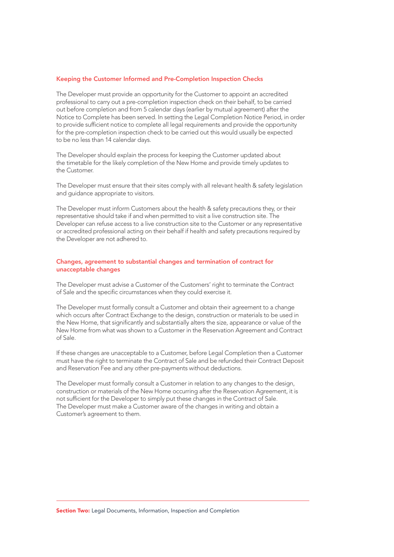#### Keeping the Customer Informed and Pre-Completion Inspection Checks

The Developer must provide an opportunity for the Customer to appoint an accredited professional to carry out a pre-completion inspection check on their behalf, to be carried out before completion and from 5 calendar days (earlier by mutual agreement) after the Notice to Complete has been served. In setting the Legal Completion Notice Period, in order to provide sufficient notice to complete all legal requirements and provide the opportunity for the pre-completion inspection check to be carried out this would usually be expected to be no less than 14 calendar days.

The Developer should explain the process for keeping the Customer updated about the timetable for the likely completion of the New Home and provide timely updates to the Customer.

The Developer must ensure that their sites comply with all relevant health & safety legislation and guidance appropriate to visitors.

The Developer must inform Customers about the health & safety precautions they, or their representative should take if and when permitted to visit a live construction site. The Developer can refuse access to a live construction site to the Customer or any representative or accredited professional acting on their behalf if health and safety precautions required by the Developer are not adhered to.

#### Changes, agreement to substantial changes and termination of contract for unacceptable changes

The Developer must advise a Customer of the Customers' right to terminate the Contract of Sale and the specific circumstances when they could exercise it.

The Developer must formally consult a Customer and obtain their agreement to a change which occurs after Contract Exchange to the design, construction or materials to be used in the New Home, that significantly and substantially alters the size, appearance or value of the New Home from what was shown to a Customer in the Reservation Agreement and Contract of Sale.

If these changes are unacceptable to a Customer, before Legal Completion then a Customer must have the right to terminate the Contract of Sale and be refunded their Contract Deposit and Reservation Fee and any other pre-payments without deductions.

The Developer must formally consult a Customer in relation to any changes to the design, construction or materials of the New Home occurring after the Reservation Agreement, it is not sufficient for the Developer to simply put these changes in the Contract of Sale. The Developer must make a Customer aware of the changes in writing and obtain a Customer's agreement to them.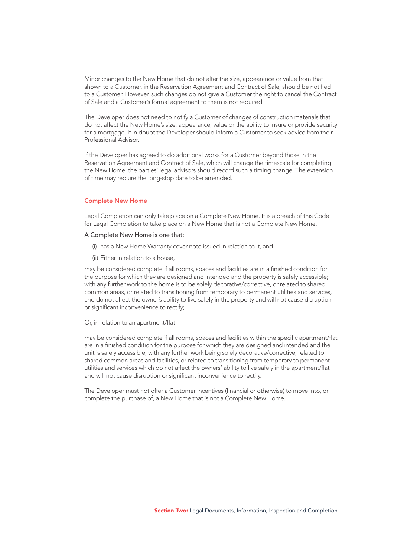Minor changes to the New Home that do not alter the size, appearance or value from that shown to a Customer, in the Reservation Agreement and Contract of Sale, should be notified to a Customer. However, such changes do not give a Customer the right to cancel the Contract of Sale and a Customer's formal agreement to them is not required.

The Developer does not need to notify a Customer of changes of construction materials that do not affect the New Home's size, appearance, value or the ability to insure or provide security for a mortgage. If in doubt the Developer should inform a Customer to seek advice from their Professional Advisor.

If the Developer has agreed to do additional works for a Customer beyond those in the Reservation Agreement and Contract of Sale, which will change the timescale for completing the New Home, the parties' legal advisors should record such a timing change. The extension of time may require the long-stop date to be amended.

#### Complete New Home

Legal Completion can only take place on a Complete New Home. It is a breach of this Code for Legal Completion to take place on a New Home that is not a Complete New Home.

#### A Complete New Home is one that:

- (i) has a New Home Warranty cover note issued in relation to it, and
- (ii) Either in relation to a house,

may be considered complete if all rooms, spaces and facilities are in a finished condition for the purpose for which they are designed and intended and the property is safely accessible; with any further work to the home is to be solely decorative/corrective, or related to shared common areas, or related to transitioning from temporary to permanent utilities and services, and do not affect the owner's ability to live safely in the property and will not cause disruption or significant inconvenience to rectify;

Or, in relation to an apartment/flat

may be considered complete if all rooms, spaces and facilities within the specific apartment/flat are in a finished condition for the purpose for which they are designed and intended and the unit is safely accessible; with any further work being solely decorative/corrective, related to shared common areas and facilities, or related to transitioning from temporary to permanent utilities and services which do not affect the owners' ability to live safely in the apartment/flat and will not cause disruption or significant inconvenience to rectify.

The Developer must not offer a Customer incentives (financial or otherwise) to move into, or complete the purchase of, a New Home that is not a Complete New Home.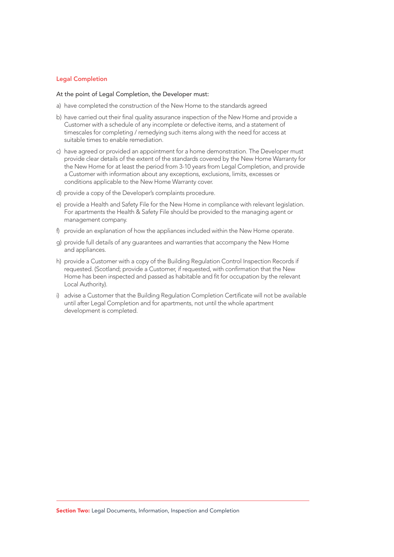#### Legal Completion

#### At the point of Legal Completion, the Developer must:

- a) have completed the construction of the New Home to the standards agreed
- b) have carried out their final quality assurance inspection of the New Home and provide a Customer with a schedule of any incomplete or defective items, and a statement of timescales for completing / remedying such items along with the need for access at suitable times to enable remediation.
- c) have agreed or provided an appointment for a home demonstration. The Developer must provide clear details of the extent of the standards covered by the New Home Warranty for the New Home for at least the period from 3-10 years from Legal Completion, and provide a Customer with information about any exceptions, exclusions, limits, excesses or conditions applicable to the New Home Warranty cover.
- d) provide a copy of the Developer's complaints procedure.
- e) provide a Health and Safety File for the New Home in compliance with relevant legislation. For apartments the Health & Safety File should be provided to the managing agent or management company.
- f) provide an explanation of how the appliances included within the New Home operate.
- g) provide full details of any guarantees and warranties that accompany the New Home and appliances.
- h) provide a Customer with a copy of the Building Regulation Control Inspection Records if requested. (Scotland; provide a Customer, if requested, with confirmation that the New Home has been inspected and passed as habitable and fit for occupation by the relevant Local Authority).
- i) advise a Customer that the Building Regulation Completion Certificate will not be available until after Legal Completion and for apartments, not until the whole apartment development is completed.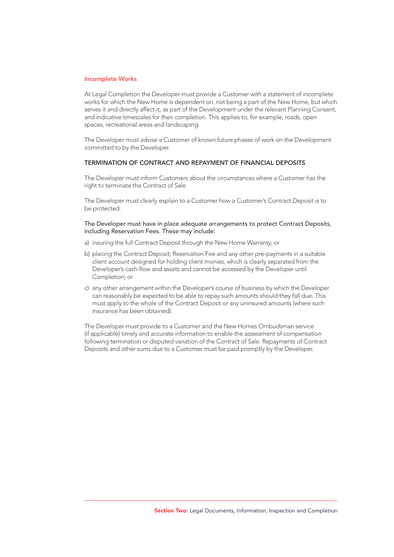#### Incomplete Works

At Legal Completion the Developer must provide a Customer with a statement of incomplete works for which the New Home is dependent on, not being a part of the New Home, but which serves it and directly affect it, as part of the Development under the relevant Planning Consent, and indicative timescales for their completion. This applies to, for example, roads, open spaces, recreational areas and landscaping.

The Developer must advise a Customer of known future phases of work on the Development committed to by the Developer.

#### TERMINATION OF CONTRACT AND REPAYMENT OF FINANCIAL DEPOSITS

The Developer must inform Customers about the circumstances where a Customer has the right to terminate the Contract of Sale.

The Developer must clearly explain to a Customer how a Customer's Contract Deposit is to be protected.

The Developer must have in place adequate arrangements to protect Contract Deposits, including Reservation Fees. These may include:

- a) insuring the full Contract Deposit through the New Home Warranty; or
- b) placing the Contract Deposit; Reservation Fee and any other pre-payments in a suitable client account designed for holding client monies, which is clearly separated from the Developer's cash-flow and assets and cannot be accessed by the Developer until Completion; or
- c) any other arrangement within the Developer's course of business by which the Developer can reasonably be expected to be able to repay such amounts should they fall due. This must apply to the whole of the Contract Deposit or any uninsured amounts (where such insurance has been obtained).

The Developer must provide to a Customer and the New Homes Ombudsman service (if applicable) timely and accurate information to enable the assessment of compensation following termination or disputed variation of the Contract of Sale. Repayments of Contract Deposits and other sums due to a Customer must be paid promptly by the Developer.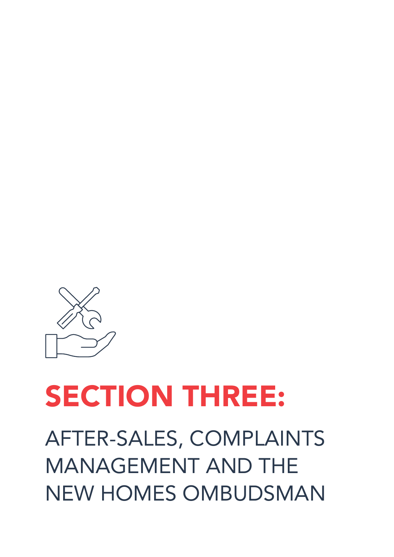## AFTER-SALES, COMPLAINTS MANAGEMENT AND THE NEW HOMES OMBUDSMAN

SECTION THREE:

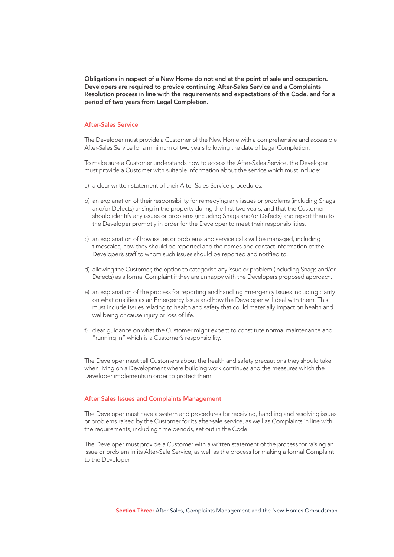Obligations in respect of a New Home do not end at the point of sale and occupation. Developers are required to provide continuing After-Sales Service and a Complaints Resolution process in line with the requirements and expectations of this Code, and for a period of two years from Legal Completion.

#### After-Sales Service

The Developer must provide a Customer of the New Home with a comprehensive and accessible After-Sales Service for a minimum of two years following the date of Legal Completion.

To make sure a Customer understands how to access the After-Sales Service, the Developer must provide a Customer with suitable information about the service which must include:

- a) a clear written statement of their After-Sales Service procedures.
- b) an explanation of their responsibility for remedying any issues or problems (including Snags and/or Defects) arising in the property during the first two years, and that the Customer should identify any issues or problems (including Snags and/or Defects) and report them to the Developer promptly in order for the Developer to meet their responsibilities.
- c) an explanation of how issues or problems and service calls will be managed, including timescales; how they should be reported and the names and contact information of the Developer's staff to whom such issues should be reported and notified to.
- d) allowing the Customer, the option to categorise any issue or problem (including Snags and/or Defects) as a formal Complaint if they are unhappy with the Developers proposed approach.
- e) an explanation of the process for reporting and handling Emergency Issues including clarity on what qualifies as an Emergency Issue and how the Developer will deal with them. This must include issues relating to health and safety that could materially impact on health and wellbeing or cause injury or loss of life.
- f) clear guidance on what the Customer might expect to constitute normal maintenance and "running in" which is a Customer's responsibility.

The Developer must tell Customers about the health and safety precautions they should take when living on a Development where building work continues and the measures which the Developer implements in order to protect them.

#### After Sales Issues and Complaints Management

The Developer must have a system and procedures for receiving, handling and resolving issues or problems raised by the Customer for its after-sale service, as well as Complaints in line with the requirements, including time periods, set out in the Code.

The Developer must provide a Customer with a written statement of the process for raising an issue or problem in its After-Sale Service, as well as the process for making a formal Complaint to the Developer.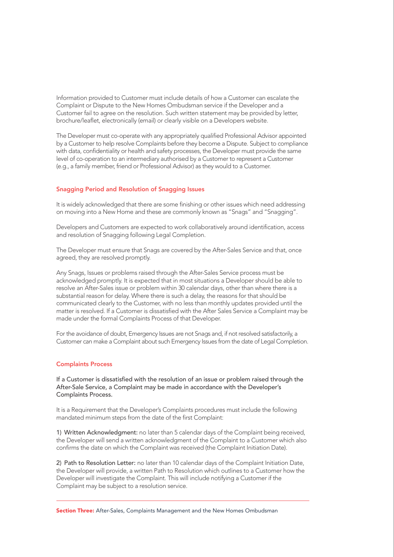Information provided to Customer must include details of how a Customer can escalate the Complaint or Dispute to the New Homes Ombudsman service if the Developer and a Customer fail to agree on the resolution. Such written statement may be provided by letter, brochure/leaflet, electronically (email) or clearly visible on a Developers website.

The Developer must co-operate with any appropriately qualified Professional Advisor appointed by a Customer to help resolve Complaints before they become a Dispute. Subject to compliance with data, confidentiality or health and safety processes, the Developer must provide the same level of co-operation to an intermediary authorised by a Customer to represent a Customer (e.g., a family member, friend or Professional Advisor) as they would to a Customer.

#### Snagging Period and Resolution of Snagging Issues

It is widely acknowledged that there are some finishing or other issues which need addressing on moving into a New Home and these are commonly known as "Snags" and "Snagging".

Developers and Customers are expected to work collaboratively around identification, access and resolution of Snagging following Legal Completion.

The Developer must ensure that Snags are covered by the After-Sales Service and that, once agreed, they are resolved promptly.

Any Snags, Issues or problems raised through the After-Sales Service process must be acknowledged promptly. It is expected that in most situations a Developer should be able to resolve an After-Sales issue or problem within 30 calendar days, other than where there is a substantial reason for delay. Where there is such a delay, the reasons for that should be communicated clearly to the Customer, with no less than monthly updates provided until the matter is resolved. If a Customer is dissatisfied with the After Sales Service a Complaint may be made under the formal Complaints Process of that Developer.

For the avoidance of doubt, Emergency Issues are not Snags and, if not resolved satisfactorily, a Customer can make a Complaint about such Emergency Issues from the date of Legal Completion.

#### Complaints Process

If a Customer is dissatisfied with the resolution of an issue or problem raised through the After-Sale Service, a Complaint may be made in accordance with the Developer's Complaints Process.

It is a Requirement that the Developer's Complaints procedures must include the following mandated minimum steps from the date of the first Complaint:

1) Written Acknowledgment: no later than 5 calendar days of the Complaint being received, the Developer will send a written acknowledgment of the Complaint to a Customer which also confirms the date on which the Complaint was received (the Complaint Initiation Date).

2) Path to Resolution Letter: no later than 10 calendar days of the Complaint Initiation Date, the Developer will provide, a written Path to Resolution which outlines to a Customer how the Developer will investigate the Complaint. This will include notifying a Customer if the Complaint may be subject to a resolution service.

Section Three: After-Sales, Complaints Management and the New Homes Ombudsman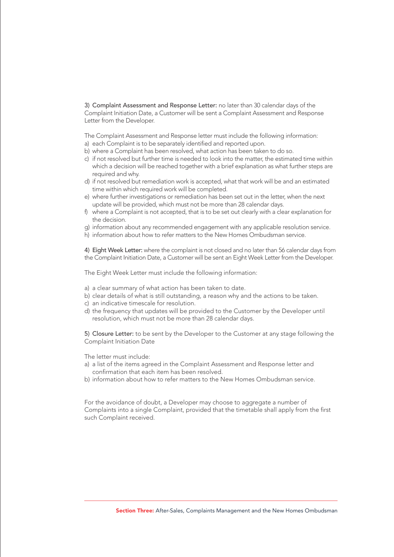3) Complaint Assessment and Response Letter: no later than 30 calendar days of the Complaint Initiation Date, a Customer will be sent a Complaint Assessment and Response Letter from the Developer.

The Complaint Assessment and Response letter must include the following information:

- a) each Complaint is to be separately identified and reported upon.
- b) where a Complaint has been resolved, what action has been taken to do so.
- c) if not resolved but further time is needed to look into the matter, the estimated time within which a decision will be reached together with a brief explanation as what further steps are required and why.
- d) if not resolved but remediation work is accepted, what that work will be and an estimated time within which required work will be completed.
- e) where further investigations or remediation has been set out in the letter, when the next update will be provided, which must not be more than 28 calendar days.
- f) where a Complaint is not accepted, that is to be set out clearly with a clear explanation for the decision.
- g) information about any recommended engagement with any applicable resolution service.
- h) information about how to refer matters to the New Homes Ombudsman service.

4) Eight Week Letter: where the complaint is not closed and no later than 56 calendar days from the Complaint Initiation Date, a Customer will be sent an Eight Week Letter from the Developer.

The Eight Week Letter must include the following information:

- a) a clear summary of what action has been taken to date.
- b) clear details of what is still outstanding, a reason why and the actions to be taken.
- c) an indicative timescale for resolution.
- d) the frequency that updates will be provided to the Customer by the Developer until resolution, which must not be more than 28 calendar days.

5) Closure Letter: to be sent by the Developer to the Customer at any stage following the Complaint Initiation Date

The letter must include:

- a) a list of the items agreed in the Complaint Assessment and Response letter and confirmation that each item has been resolved.
- b) information about how to refer matters to the New Homes Ombudsman service.

For the avoidance of doubt, a Developer may choose to aggregate a number of Complaints into a single Complaint, provided that the timetable shall apply from the first such Complaint received.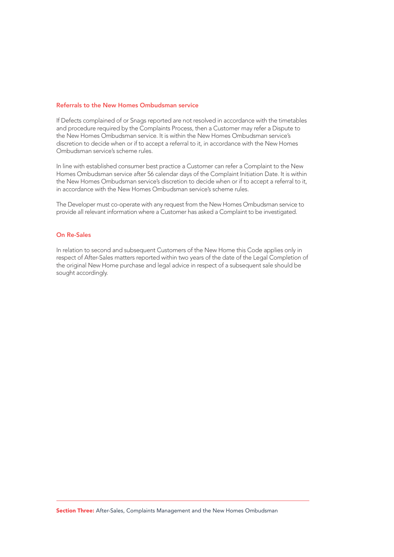#### Referrals to the New Homes Ombudsman service

If Defects complained of or Snags reported are not resolved in accordance with the timetables and procedure required by the Complaints Process, then a Customer may refer a Dispute to the New Homes Ombudsman service. It is within the New Homes Ombudsman service's discretion to decide when or if to accept a referral to it, in accordance with the New Homes Ombudsman service's scheme rules.

In line with established consumer best practice a Customer can refer a Complaint to the New Homes Ombudsman service after 56 calendar days of the Complaint Initiation Date. It is within the New Homes Ombudsman service's discretion to decide when or if to accept a referral to it, in accordance with the New Homes Ombudsman service's scheme rules.

The Developer must co-operate with any request from the New Homes Ombudsman service to provide all relevant information where a Customer has asked a Complaint to be investigated.

#### On Re-Sales

In relation to second and subsequent Customers of the New Home this Code applies only in respect of After-Sales matters reported within two years of the date of the Legal Completion of the original New Home purchase and legal advice in respect of a subsequent sale should be sought accordingly.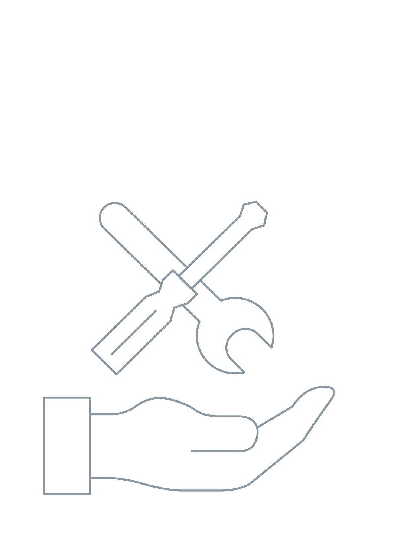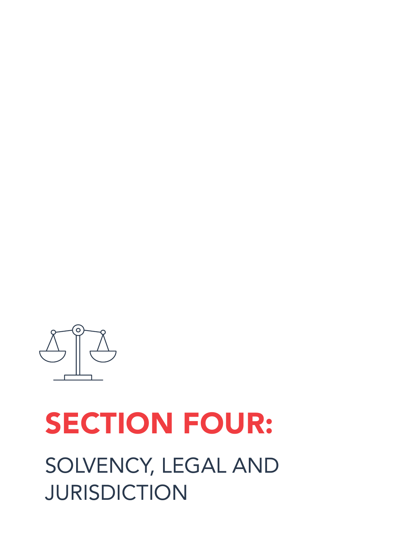# SECTION FOUR: SOLVENCY, LEGAL AND JURISDICTION

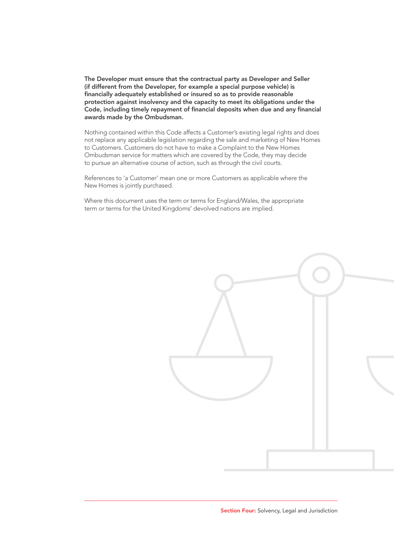The Developer must ensure that the contractual party as Developer and Seller (if different from the Developer, for example a special purpose vehicle) is financially adequately established or insured so as to provide reasonable protection against insolvency and the capacity to meet its obligations under the Code, including timely repayment of financial deposits when due and any financial awards made by the Ombudsman.

Nothing contained within this Code affects a Customer's existing legal rights and does not replace any applicable legislation regarding the sale and marketing of New Homes to Customers. Customers do not have to make a Complaint to the New Homes Ombudsman service for matters which are covered by the Code, they may decide to pursue an alternative course of action, such as through the civil courts.

References to 'a Customer' mean one or more Customers as applicable where the New Homes is jointly purchased.

Where this document uses the term or terms for England/Wales, the appropriate term or terms for the United Kingdoms' devolved nations are implied.